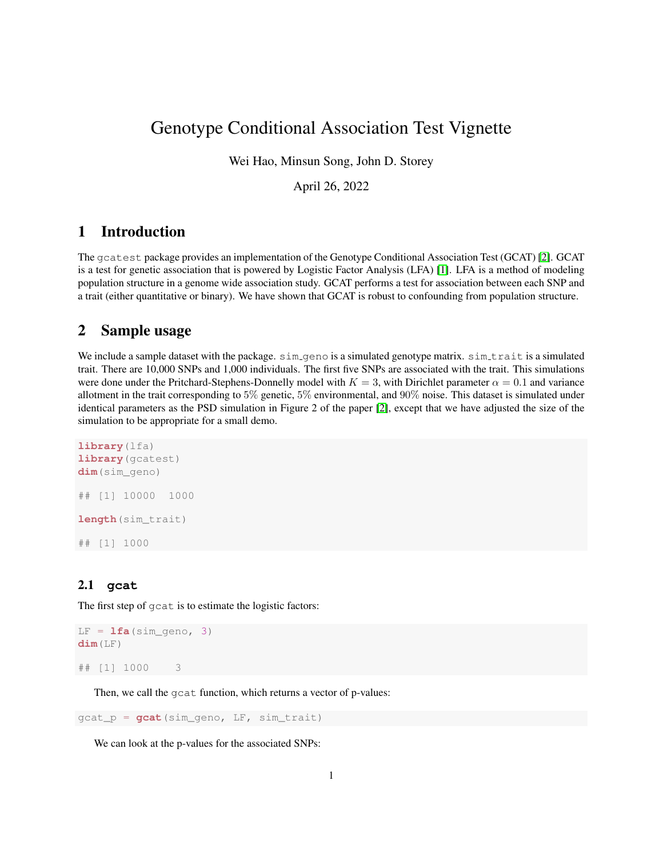# Genotype Conditional Association Test Vignette

Wei Hao, Minsun Song, John D. Storey

April 26, 2022

### 1 Introduction

The gcatest package provides an implementation of the Genotype Conditional Association Test (GCAT) [\[2\]](#page-1-0). GCAT is a test for genetic association that is powered by Logistic Factor Analysis (LFA) [\[1\]](#page-1-1). LFA is a method of modeling population structure in a genome wide association study. GCAT performs a test for association between each SNP and a trait (either quantitative or binary). We have shown that GCAT is robust to confounding from population structure.

#### 2 Sample usage

We include a sample dataset with the package.  $sim_q$ geno is a simulated genotype matrix. sim trait is a simulated trait. There are 10,000 SNPs and 1,000 individuals. The first five SNPs are associated with the trait. This simulations were done under the Pritchard-Stephens-Donnelly model with  $K = 3$ , with Dirichlet parameter  $\alpha = 0.1$  and variance allotment in the trait corresponding to 5% genetic, 5% environmental, and 90% noise. This dataset is simulated under identical parameters as the PSD simulation in Figure 2 of the paper [\[2\]](#page-1-0), except that we have adjusted the size of the simulation to be appropriate for a small demo.

```
library(lfa)
library(gcatest)
dim(sim_geno)
## [1] 10000 1000
length(sim_trait)
## [1] 1000
```
#### 2.1 **gcat**

The first step of gcat is to estimate the logistic factors:

```
LF = <b>lfa</b>(sim\_geno, 3)dim(LF)
## [1] 1000 3
```
Then, we call the gcat function, which returns a vector of p-values:

gcat\_p = **gcat**(sim\_geno, LF, sim\_trait)

We can look at the p-values for the associated SNPs: